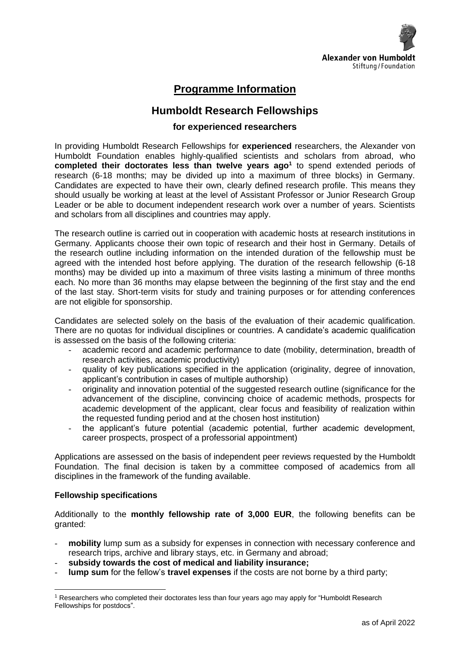

# **Programme Information**

## **Humboldt Research Fellowships**

## **for experienced researchers**

In providing Humboldt Research Fellowships for **experienced** researchers, the Alexander von Humboldt Foundation enables highly-qualified scientists and scholars from abroad, who **completed their doctorates less than twelve years ago<sup>1</sup>** to spend extended periods of research (6-18 months; may be divided up into a maximum of three blocks) in Germany. Candidates are expected to have their own, clearly defined research profile. This means they should usually be working at least at the level of Assistant Professor or Junior Research Group Leader or be able to document independent research work over a number of years. Scientists and scholars from all disciplines and countries may apply.

The research outline is carried out in cooperation with academic hosts at research institutions in Germany. Applicants choose their own topic of research and their host in Germany. Details of the research outline including information on the intended duration of the fellowship must be agreed with the intended host before applying. The duration of the research fellowship (6-18 months) may be divided up into a maximum of three visits lasting a minimum of three months each. No more than 36 months may elapse between the beginning of the first stay and the end of the last stay. Short-term visits for study and training purposes or for attending conferences are not eligible for sponsorship.

Candidates are selected solely on the basis of the evaluation of their academic qualification. There are no quotas for individual disciplines or countries. A candidate's academic qualification is assessed on the basis of the following criteria:

- academic record and academic performance to date (mobility, determination, breadth of research activities, academic productivity)
- quality of key publications specified in the application (originality, degree of innovation, applicant's contribution in cases of multiple authorship)
- originality and innovation potential of the suggested research outline (significance for the advancement of the discipline, convincing choice of academic methods, prospects for academic development of the applicant, clear focus and feasibility of realization within the requested funding period and at the chosen host institution)
- the applicant's future potential (academic potential, further academic development, career prospects, prospect of a professorial appointment)

Applications are assessed on the basis of independent peer reviews requested by the Humboldt Foundation. The final decision is taken by a committee composed of academics from all disciplines in the framework of the funding available.

#### **Fellowship specifications**

Additionally to the **monthly fellowship rate of 3,000 EUR**, the following benefits can be granted:

- mobility lump sum as a subsidy for expenses in connection with necessary conference and research trips, archive and library stays, etc. in Germany and abroad;
- **subsidy towards the cost of medical and liability insurance;**
- lump sum for the fellow's travel expenses if the costs are not borne by a third party;

<sup>1</sup> Researchers who completed their doctorates less than four years ago may apply for "Humboldt Research Fellowships for postdocs".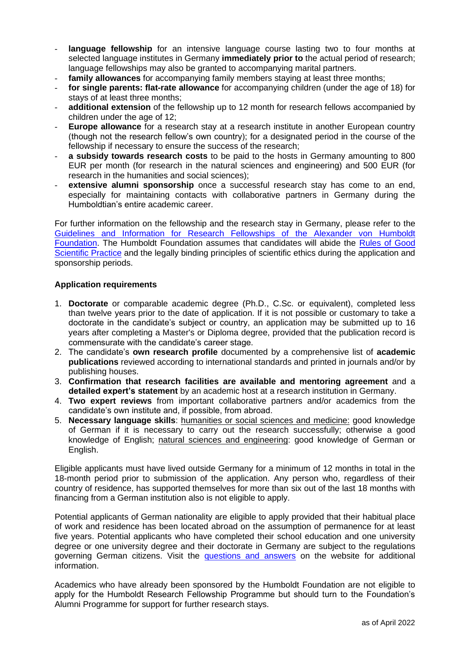- **language fellowship** for an intensive language course lasting two to four months at selected language institutes in Germany **immediately prior to** the actual period of research; language fellowships may also be granted to accompanying marital partners.
- family allowances for accompanying family members staying at least three months;
- **for single parents: flat-rate allowance** for accompanying children (under the age of 18) for stays of at least three months;
- additional extension of the fellowship up to 12 month for research fellows accompanied by children under the age of 12;
- **Europe allowance** for a research stay at a research institute in another European country (though not the research fellow's own country); for a designated period in the course of the fellowship if necessary to ensure the success of the research;
- a subsidy towards research costs to be paid to the hosts in Germany amounting to 800 EUR per month (for research in the natural sciences and engineering) and 500 EUR (for research in the humanities and social sciences);
- extensive alumni sponsorship once a successful research stay has come to an end, especially for maintaining contacts with collaborative partners in Germany during the Humboldtian's entire academic career.

For further information on the fellowship and the research stay in Germany, please refer to the Guidelines and Information for Research [Fellowships of the Alexander von Humboldt](https://www.humboldt-foundation.de/fileadmin/Bewerben/Foerderung_waehrend_Aufenthalt/Forschungsstipendien_in_Deutschland/research_fellowships_guidelines.pdf)  [Foundation.](https://www.humboldt-foundation.de/fileadmin/Bewerben/Foerderung_waehrend_Aufenthalt/Forschungsstipendien_in_Deutschland/research_fellowships_guidelines.pdf) The Humboldt Foundation assumes that candidates will abide the [Rules of Good](https://www.humboldt-foundation.de/fileadmin/Bewerben/Allgemein/rules_scientific_practice.pdf)  [Scientific Practice](https://www.humboldt-foundation.de/fileadmin/Bewerben/Allgemein/rules_scientific_practice.pdf) and the legally binding principles of scientific ethics during the application and sponsorship periods.

### **Application requirements**

- 1. **Doctorate** or comparable academic degree (Ph.D., C.Sc. or equivalent), completed less than twelve years prior to the date of application. If it is not possible or customary to take a doctorate in the candidate's subject or country, an application may be submitted up to 16 years after completing a Master's or Diploma degree, provided that the publication record is commensurate with the candidate's career stage.
- 2. The candidate's **own research profile** documented by a comprehensive list of **academic publications** reviewed according to international standards and printed in journals and/or by publishing houses.
- 3. **Confirmation that research facilities are available and mentoring agreement** and a **detailed expert's statement** by an academic host at a research institution in Germany.
- 4. **Two expert reviews** from important collaborative partners and/or academics from the candidate's own institute and, if possible, from abroad.
- 5. **Necessary language skills**: humanities or social sciences and medicine: good knowledge of German if it is necessary to carry out the research successfully; otherwise a good knowledge of English; natural sciences and engineering: good knowledge of German or English.

Eligible applicants must have lived outside Germany for a minimum of 12 months in total in the 18-month period prior to submission of the application. Any person who, regardless of their country of residence, has supported themselves for more than six out of the last 18 months with financing from a German institution also is not eligible to apply.

Potential applicants of German nationality are eligible to apply provided that their habitual place of work and residence has been located abroad on the assumption of permanence for at least five years. Potential applicants who have completed their school education and one university degree or one university degree and their doctorate in Germany are subject to the regulations governing German citizens. Visit the [questions and answers](https://www.humboldt-foundation.de/en/apply/sponsorship-programmes/humboldt-research-fellowship#h12177) on the website for additional information.

Academics who have already been sponsored by the Humboldt Foundation are not eligible to apply for the Humboldt Research Fellowship Programme but should turn to the Foundation's Alumni Programme for support for further research stays.